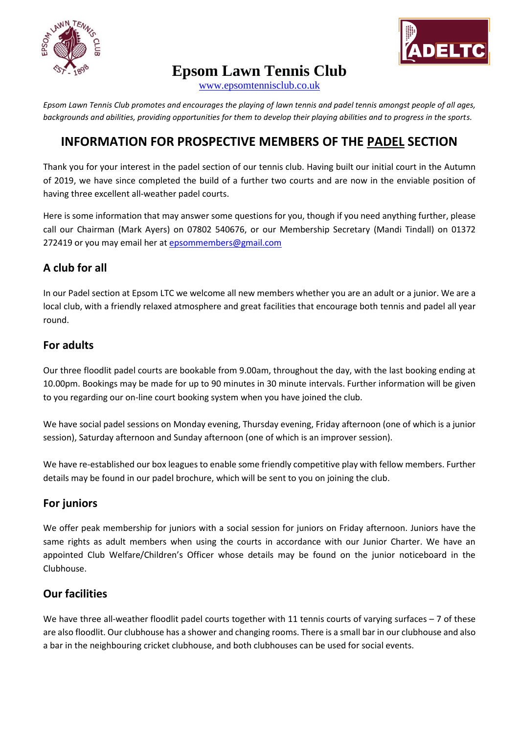



**Epsom Lawn Tennis Club**

[www.epsomtennisclub.co.uk](http://www.epsomtennisclub.co.uk/)

*Epsom Lawn Tennis Club promotes and encourages the playing of lawn tennis and padel tennis amongst people of all ages, backgrounds and abilities, providing opportunities for them to develop their playing abilities and to progress in the sports.*

# **INFORMATION FOR PROSPECTIVE MEMBERS OF THE PADEL SECTION**

Thank you for your interest in the padel section of our tennis club. Having built our initial court in the Autumn of 2019, we have since completed the build of a further two courts and are now in the enviable position of having three excellent all-weather padel courts.

Here is some information that may answer some questions for you, though if you need anything further, please call our Chairman (Mark Ayers) on 07802 540676, or our Membership Secretary (Mandi Tindall) on 01372 272419 or you may email her at [epsommembers@gmail.com](mailto:epsommembers@gmail.com)

## **A club for all**

In our Padel section at Epsom LTC we welcome all new members whether you are an adult or a junior. We are a local club, with a friendly relaxed atmosphere and great facilities that encourage both tennis and padel all year round.

### **For adults**

Our three floodlit padel courts are bookable from 9.00am, throughout the day, with the last booking ending at 10.00pm. Bookings may be made for up to 90 minutes in 30 minute intervals. Further information will be given to you regarding our on-line court booking system when you have joined the club.

We have social padel sessions on Monday evening, Thursday evening, Friday afternoon (one of which is a junior session), Saturday afternoon and Sunday afternoon (one of which is an improver session).

We have re-established our box leagues to enable some friendly competitive play with fellow members. Further details may be found in our padel brochure, which will be sent to you on joining the club.

## **For juniors**

We offer peak membership for juniors with a social session for juniors on Friday afternoon. Juniors have the same rights as adult members when using the courts in accordance with our Junior Charter. We have an appointed Club Welfare/Children's Officer whose details may be found on the junior noticeboard in the Clubhouse.

## **Our facilities**

We have three all-weather floodlit padel courts together with 11 tennis courts of varying surfaces  $-7$  of these are also floodlit. Our clubhouse has a shower and changing rooms. There is a small bar in our clubhouse and also a bar in the neighbouring cricket clubhouse, and both clubhouses can be used for social events.